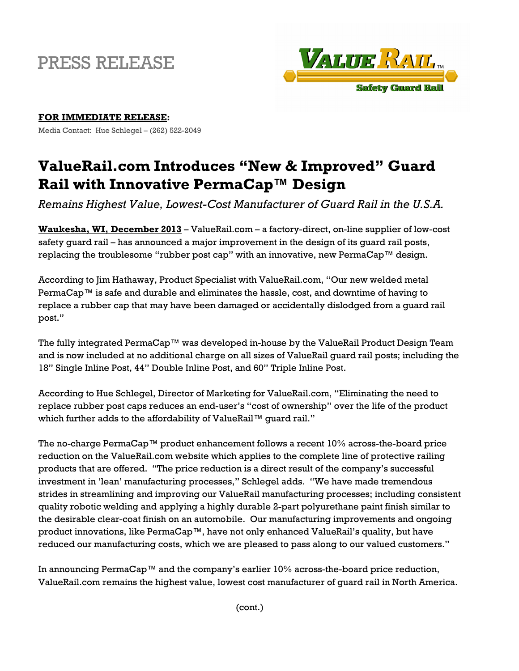## PRESS RELEASE



## **FOR IMMEDIATE RELEASE:**

Media Contact: Hue Schlegel – (262) 522-2049

## **ValueRail.com Introduces "New & Improved" Guard Rail with Innovative PermaCap™ Design**

*Remains Highest Value, Lowest-Cost Manufacturer of Guard Rail in the U.S.A.* 

**Waukesha, WI, December 2013** – ValueRail.com – a factory-direct, on-line supplier of low-cost safety guard rail – has announced a major improvement in the design of its guard rail posts, replacing the troublesome "rubber post cap" with an innovative, new PermaCap™ design.

According to Jim Hathaway, Product Specialist with ValueRail.com, "Our new welded metal PermaCap™ is safe and durable and eliminates the hassle, cost, and downtime of having to replace a rubber cap that may have been damaged or accidentally dislodged from a guard rail post."

The fully integrated PermaCap™ was developed in-house by the ValueRail Product Design Team and is now included at no additional charge on all sizes of ValueRail guard rail posts; including the 18" Single Inline Post, 44" Double Inline Post, and 60" Triple Inline Post.

According to Hue Schlegel, Director of Marketing for ValueRail.com, "Eliminating the need to replace rubber post caps reduces an end-user's "cost of ownership" over the life of the product which further adds to the affordability of ValueRail™ quard rail."

The no-charge PermaCap™ product enhancement follows a recent 10% across-the-board price reduction on the ValueRail.com website which applies to the complete line of protective railing products that are offered. "The price reduction is a direct result of the company's successful investment in 'lean' manufacturing processes," Schlegel adds. "We have made tremendous strides in streamlining and improving our ValueRail manufacturing processes; including consistent quality robotic welding and applying a highly durable 2-part polyurethane paint finish similar to the desirable clear-coat finish on an automobile. Our manufacturing improvements and ongoing product innovations, like PermaCap™, have not only enhanced ValueRail's quality, but have reduced our manufacturing costs, which we are pleased to pass along to our valued customers."

In announcing PermaCap™ and the company's earlier 10% across-the-board price reduction, ValueRail.com remains the highest value, lowest cost manufacturer of guard rail in North America.